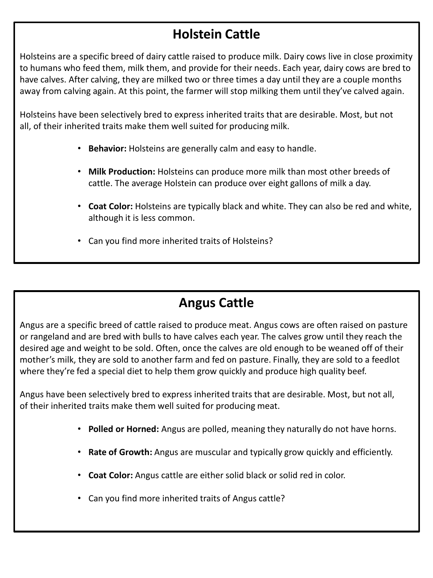## **Holstein Cattle**

Holsteins are a specific breed of dairy cattle raised to produce milk. Dairy cows live in close proximity to humans who feed them, milk them, and provide for their needs. Each year, dairy cows are bred to have calves. After calving, they are milked two or three times a day until they are a couple months away from calving again. At this point, the farmer will stop milking them until they've calved again.

Holsteins have been selectively bred to express inherited traits that are desirable. Most, but not all, of their inherited traits make them well suited for producing milk.

- **Behavior:** Holsteins are generally calm and easy to handle.
- **Milk Production:** Holsteins can produce more milk than most other breeds of cattle. The average Holstein can produce over eight gallons of milk a day.
- **Coat Color:** Holsteins are typically black and white. They can also be red and white, although it is less common.
- Can you find more inherited traits of Holsteins?

### **Angus Cattle**

Angus are a specific breed of cattle raised to produce meat. Angus cows are often raised on pasture or rangeland and are bred with bulls to have calves each year. The calves grow until they reach the desired age and weight to be sold. Often, once the calves are old enough to be weaned off of their mother's milk, they are sold to another farm and fed on pasture. Finally, they are sold to a feedlot where they're fed a special diet to help them grow quickly and produce high quality beef.

Angus have been selectively bred to express inherited traits that are desirable. Most, but not all, of their inherited traits make them well suited for producing meat.

- **Polled or Horned:** Angus are polled, meaning they naturally do not have horns.
- **Rate of Growth:** Angus are muscular and typically grow quickly and efficiently.
- **Coat Color:** Angus cattle are either solid black or solid red in color.
- Can you find more inherited traits of Angus cattle?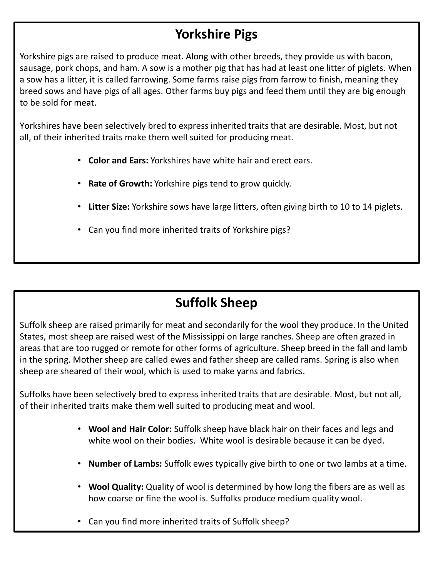### **Yorkshire Pigs**

Yorkshire pigs are raised to produce meat. Along with other breeds, they provide us with bacon, sausage, pork chops, and ham. A sow is a mother pig that has had at least one litter of piglets. When a sow has a litter, it is called farrowing. Some farms raise pigs from farrow to finish, meaning they breed sows and have pigs of all ages. Other farms buy pigs and feed them until they are big enough to be sold for meat.

Yorkshires have been selectively bred to express inherited traits that are desirable. Most, but not all, of their inherited traits make them well suited for producing meat.

- **Color and Ears:** Yorkshires have white hair and erect ears.
- **Rate of Growth:** Yorkshire pigs tend to grow quickly.
- **Litter Size:** Yorkshire sows have large litters, often giving birth to 10 to 14 piglets.
- Can you find more inherited traits of Yorkshire pigs?

# **Suffolk Sheep**

Suffolk sheep are raised primarily for meat and secondarily for the wool they produce. In the United States, most sheep are raised west of the Mississippi on large ranches. Sheep are often grazed in areas that are too rugged or remote for other forms of agriculture. Sheep breed in the fall and lamb in the spring. Mother sheep are called ewes and father sheep are called rams. Spring is also when sheep are sheared of their wool, which is used to make yarns and fabrics.

Suffolks have been selectively bred to express inherited traits that are desirable. Most, but not all, of their inherited traits make them well suited to producing meat and wool.

- **Wool and Hair Color:** Suffolk sheep have black hair on their faces and legs and white wool on their bodies. White wool is desirable because it can be dyed.
- **Number of Lambs:** Suffolk ewes typically give birth to one or two lambs at a time.
- **Wool Quality:** Quality of wool is determined by how long the fibers are as well as how coarse or fine the wool is. Suffolks produce medium quality wool.
- Can you find more inherited traits of Suffolk sheep?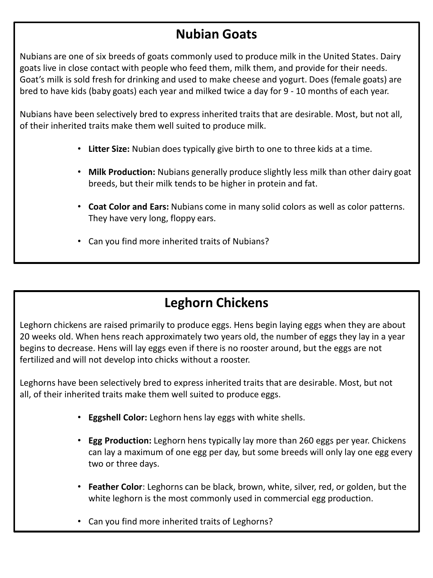#### **Nubian Goats**

Nubians are one of six breeds of goats commonly used to produce milk in the United States. Dairy goats live in close contact with people who feed them, milk them, and provide for their needs. Goat's milk is sold fresh for drinking and used to make cheese and yogurt. Does (female goats) are bred to have kids (baby goats) each year and milked twice a day for 9 - 10 months of each year.

Nubians have been selectively bred to express inherited traits that are desirable. Most, but not all, of their inherited traits make them well suited to produce milk.

- **Litter Size:** Nubian does typically give birth to one to three kids at a time.
- **Milk Production:** Nubians generally produce slightly less milk than other dairy goat breeds, but their milk tends to be higher in protein and fat.
- **Coat Color and Ears:** Nubians come in many solid colors as well as color patterns. They have very long, floppy ears.
- Can you find more inherited traits of Nubians?

## **Leghorn Chickens**

Leghorn chickens are raised primarily to produce eggs. Hens begin laying eggs when they are about 20 weeks old. When hens reach approximately two years old, the number of eggs they lay in a year begins to decrease. Hens will lay eggs even if there is no rooster around, but the eggs are not fertilized and will not develop into chicks without a rooster.

Leghorns have been selectively bred to express inherited traits that are desirable. Most, but not all, of their inherited traits make them well suited to produce eggs.

- **Eggshell Color:** Leghorn hens lay eggs with white shells.
- **Egg Production:** Leghorn hens typically lay more than 260 eggs per year. Chickens can lay a maximum of one egg per day, but some breeds will only lay one egg every two or three days.
- **Feather Color**: Leghorns can be black, brown, white, silver, red, or golden, but the white leghorn is the most commonly used in commercial egg production.
- Can you find more inherited traits of Leghorns?